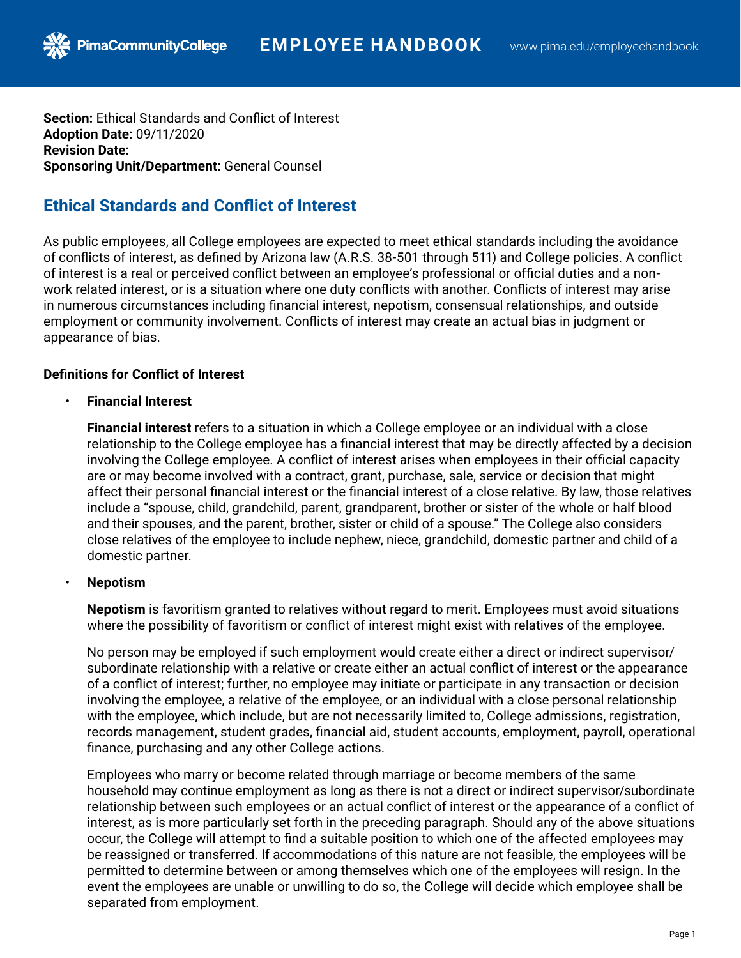**Section:** Ethical Standards and Conflict of Interest **Adoption Date:** 09/11/2020 **Revision Date: Sponsoring Unit/Department:** General Counsel

# **Ethical Standards and Conflict of Interest**

As public employees, all College employees are expected to meet ethical standards including the avoidance of conflicts of interest, as defined by Arizona law (A.R.S. 38-501 through 511) and College policies. A conflict of interest is a real or perceived conflict between an employee's professional or official duties and a nonwork related interest, or is a situation where one duty conflicts with another. Conflicts of interest may arise in numerous circumstances including financial interest, nepotism, consensual relationships, and outside employment or community involvement. Conflicts of interest may create an actual bias in judgment or appearance of bias.

## **Definitions for Conflict of Interest**

• **Financial Interest**

**Financial interest** refers to a situation in which a College employee or an individual with a close relationship to the College employee has a financial interest that may be directly affected by a decision involving the College employee. A conflict of interest arises when employees in their official capacity are or may become involved with a contract, grant, purchase, sale, service or decision that might affect their personal financial interest or the financial interest of a close relative. By law, those relatives include a "spouse, child, grandchild, parent, grandparent, brother or sister of the whole or half blood and their spouses, and the parent, brother, sister or child of a spouse." The College also considers close relatives of the employee to include nephew, niece, grandchild, domestic partner and child of a domestic partner.

## • **Nepotism**

**Nepotism** is favoritism granted to relatives without regard to merit. Employees must avoid situations where the possibility of favoritism or conflict of interest might exist with relatives of the employee.

No person may be employed if such employment would create either a direct or indirect supervisor/ subordinate relationship with a relative or create either an actual conflict of interest or the appearance of a conflict of interest; further, no employee may initiate or participate in any transaction or decision involving the employee, a relative of the employee, or an individual with a close personal relationship with the employee, which include, but are not necessarily limited to, College admissions, registration, records management, student grades, financial aid, student accounts, employment, payroll, operational finance, purchasing and any other College actions.

Employees who marry or become related through marriage or become members of the same household may continue employment as long as there is not a direct or indirect supervisor/subordinate relationship between such employees or an actual conflict of interest or the appearance of a conflict of interest, as is more particularly set forth in the preceding paragraph. Should any of the above situations occur, the College will attempt to find a suitable position to which one of the affected employees may be reassigned or transferred. If accommodations of this nature are not feasible, the employees will be permitted to determine between or among themselves which one of the employees will resign. In the event the employees are unable or unwilling to do so, the College will decide which employee shall be separated from employment.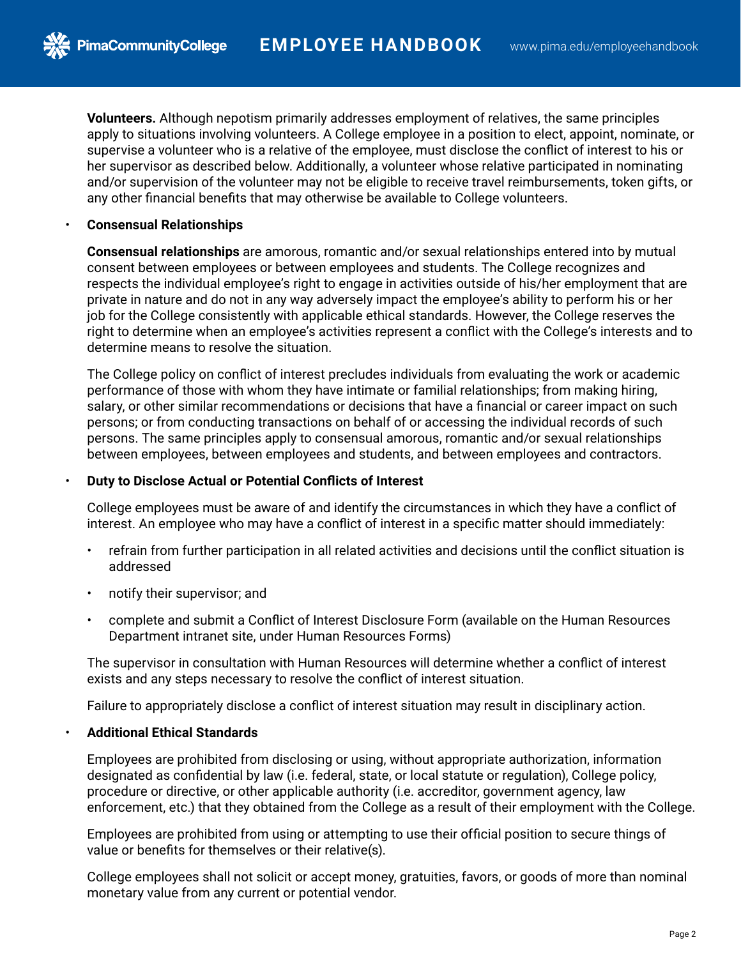**Volunteers.** Although nepotism primarily addresses employment of relatives, the same principles apply to situations involving volunteers. A College employee in a position to elect, appoint, nominate, or supervise a volunteer who is a relative of the employee, must disclose the conflict of interest to his or her supervisor as described below. Additionally, a volunteer whose relative participated in nominating and/or supervision of the volunteer may not be eligible to receive travel reimbursements, token gifts, or any other financial benefits that may otherwise be available to College volunteers.

#### • **Consensual Relationships**

**PimaCommunityCollege** 

**Consensual relationships** are amorous, romantic and/or sexual relationships entered into by mutual consent between employees or between employees and students. The College recognizes and respects the individual employee's right to engage in activities outside of his/her employment that are private in nature and do not in any way adversely impact the employee's ability to perform his or her job for the College consistently with applicable ethical standards. However, the College reserves the right to determine when an employee's activities represent a conflict with the College's interests and to determine means to resolve the situation.

The College policy on conflict of interest precludes individuals from evaluating the work or academic performance of those with whom they have intimate or familial relationships; from making hiring, salary, or other similar recommendations or decisions that have a financial or career impact on such persons; or from conducting transactions on behalf of or accessing the individual records of such persons. The same principles apply to consensual amorous, romantic and/or sexual relationships between employees, between employees and students, and between employees and contractors.

#### • **Duty to Disclose Actual or Potential Conflicts of Interest**

College employees must be aware of and identify the circumstances in which they have a conflict of interest. An employee who may have a conflict of interest in a specific matter should immediately:

- refrain from further participation in all related activities and decisions until the conflict situation is addressed
- notify their supervisor; and
- complete and submit a Conflict of Interest Disclosure Form (available on the Human Resources Department intranet site, under Human Resources Forms)

The supervisor in consultation with Human Resources will determine whether a conflict of interest exists and any steps necessary to resolve the conflict of interest situation.

Failure to appropriately disclose a conflict of interest situation may result in disciplinary action.

### • **Additional Ethical Standards**

Employees are prohibited from disclosing or using, without appropriate authorization, information designated as confidential by law (i.e. federal, state, or local statute or regulation), College policy, procedure or directive, or other applicable authority (i.e. accreditor, government agency, law enforcement, etc.) that they obtained from the College as a result of their employment with the College.

Employees are prohibited from using or attempting to use their official position to secure things of value or benefits for themselves or their relative(s).

College employees shall not solicit or accept money, gratuities, favors, or goods of more than nominal monetary value from any current or potential vendor.